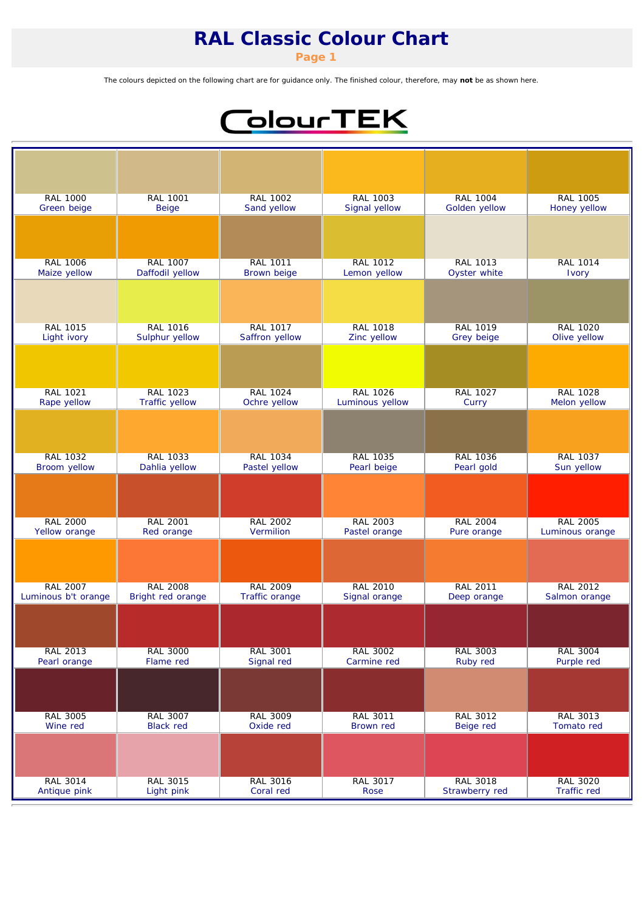*Page 1*

The colours depicted on the following chart are for guidance only. The finished colour, therefore, may not be as shown here.

# ColourTEK

| <b>RAL 1000</b>     | <b>RAL 1001</b>       | RAL 1002           | <b>RAL 1003</b> | <b>RAL 1004</b> | <b>RAL 1005</b> |
|---------------------|-----------------------|--------------------|-----------------|-----------------|-----------------|
| Green beige         | <b>Beige</b>          | Sand yellow        | Signal yellow   | Golden yellow   | Honey yellow    |
|                     |                       |                    |                 |                 |                 |
| <b>RAL 1006</b>     | <b>RAL 1007</b>       | <b>RAL 1011</b>    | <b>RAL 1012</b> | RAL 1013        | <b>RAL 1014</b> |
| Maize yellow        | Daffodil yellow       | <b>Brown beige</b> | Lemon yellow    | Oyster white    | Ivory           |
|                     |                       |                    |                 |                 |                 |
| <b>RAL 1015</b>     | <b>RAL 1016</b>       | <b>RAL 1017</b>    | <b>RAL 1018</b> | <b>RAL 1019</b> | <b>RAL 1020</b> |
| Light ivory         | Sulphur yellow        | Saffron yellow     | Zinc yellow     | Grey beige      | Olive yellow    |
|                     |                       |                    |                 |                 |                 |
| <b>RAL 1021</b>     | <b>RAL 1023</b>       | <b>RAL 1024</b>    | <b>RAL 1026</b> | <b>RAL 1027</b> | <b>RAL 1028</b> |
| Rape yellow         | <b>Traffic yellow</b> | Ochre yellow       | Luminous yellow | Curry           | Melon yellow    |
|                     |                       |                    |                 |                 |                 |
| <b>RAL 1032</b>     | <b>RAL 1033</b>       | <b>RAL 1034</b>    | <b>RAL 1035</b> | <b>RAL 1036</b> | <b>RAL 1037</b> |
| Broom yellow        | Dahlia yellow         | Pastel yellow      | Pearl beige     | Pearl gold      | Sun yellow      |
|                     |                       |                    |                 |                 |                 |
| <b>RAL 2000</b>     | <b>RAL 2001</b>       | <b>RAL 2002</b>    | <b>RAL 2003</b> | <b>RAL 2004</b> | <b>RAL 2005</b> |
| Yellow orange       | Red orange            | Vermilion          | Pastel orange   | Pure orange     | Luminous orange |
|                     |                       |                    |                 |                 |                 |
| <b>RAL 2007</b>     | <b>RAL 2008</b>       | <b>RAL 2009</b>    | <b>RAL 2010</b> | <b>RAL 2011</b> | <b>RAL 2012</b> |
| Luminous b't orange | Bright red orange     | Traffic orange     | Signal orange   | Deep orange     | Salmon orange   |
|                     |                       |                    |                 |                 |                 |
| <b>RAL 2013</b>     | <b>RAL 3000</b>       | <b>RAL 3001</b>    | <b>RAL 3002</b> | <b>RAL 3003</b> | <b>RAL 3004</b> |
| Pearl orange        | Flame red             | Signal red         | Carmine red     | Ruby red        | Purple red      |
|                     |                       |                    |                 |                 |                 |
| <b>RAL 3005</b>     | <b>RAL 3007</b>       | <b>RAL 3009</b>    | <b>RAL 3011</b> | <b>RAL 3012</b> | RAL 3013        |
| Wine red            | <b>Black red</b>      | Oxide red          | Brown red       | Beige red       | Tomato red      |
|                     |                       |                    |                 |                 |                 |
| <b>RAL 3014</b>     | <b>RAL 3015</b>       | <b>RAL 3016</b>    | <b>RAL 3017</b> | <b>RAL 3018</b> | <b>RAL 3020</b> |
| Antique pink        | Light pink            | Coral red          | Rose            | Strawberry red  | Traffic red     |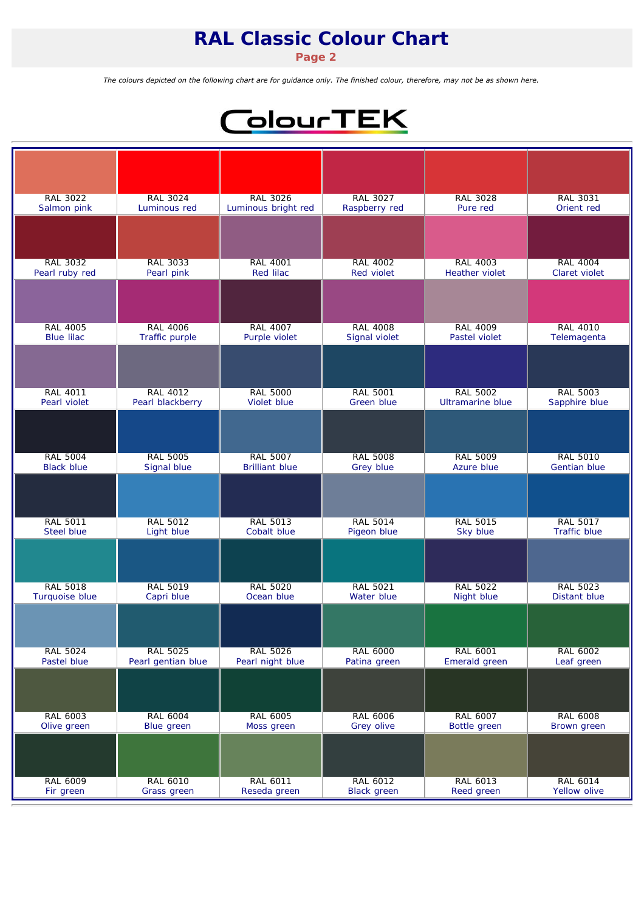*Page 2*

The colours depicted on the following chart are for guidance only. The finished colour, therefore, may not be as shown here.



| <b>RAL 3022</b>   | <b>RAL 3024</b>    | <b>RAL 3026</b>       | <b>RAL 3027</b>    | <b>RAL 3028</b>         | <b>RAL 3031</b>     |
|-------------------|--------------------|-----------------------|--------------------|-------------------------|---------------------|
| Salmon pink       | Luminous red       | Luminous bright red   | Raspberry red      | Pure red                | Orient red          |
|                   |                    |                       |                    |                         |                     |
| <b>RAL 3032</b>   | <b>RAL 3033</b>    | <b>RAL 4001</b>       | <b>RAL 4002</b>    | <b>RAL 4003</b>         | <b>RAL 4004</b>     |
| Pearl ruby red    | Pearl pink         | <b>Red lilac</b>      | <b>Red violet</b>  | <b>Heather violet</b>   | Claret violet       |
|                   |                    |                       |                    |                         |                     |
| <b>RAL 4005</b>   | <b>RAL 4006</b>    | <b>RAL 4007</b>       | <b>RAL 4008</b>    | <b>RAL 4009</b>         | <b>RAL 4010</b>     |
| <b>Blue lilac</b> | Traffic purple     | Purple violet         | Signal violet      | Pastel violet           | Telemagenta         |
|                   |                    |                       |                    |                         |                     |
| <b>RAL 4011</b>   | <b>RAL 4012</b>    | <b>RAL 5000</b>       | <b>RAL 5001</b>    | <b>RAL 5002</b>         | <b>RAL 5003</b>     |
| Pearl violet      | Pearl blackberry   | Violet blue           | Green blue         | <b>Ultramarine blue</b> | Sapphire blue       |
|                   |                    |                       |                    |                         |                     |
| <b>RAL 5004</b>   | <b>RAL 5005</b>    | <b>RAL 5007</b>       | <b>RAL 5008</b>    | <b>RAL 5009</b>         | <b>RAL 5010</b>     |
| <b>Black blue</b> | Signal blue        | <b>Brilliant blue</b> | Grey blue          | Azure blue              | <b>Gentian blue</b> |
|                   |                    |                       |                    |                         |                     |
| <b>RAL 5011</b>   | <b>RAL 5012</b>    | <b>RAL 5013</b>       | <b>RAL 5014</b>    | <b>RAL 5015</b>         | <b>RAL 5017</b>     |
| <b>Steel blue</b> | Light blue         | Cobalt blue           | Pigeon blue        | Sky blue                | <b>Traffic blue</b> |
|                   |                    |                       |                    |                         |                     |
| <b>RAL 5018</b>   | <b>RAL 5019</b>    | <b>RAL 5020</b>       | <b>RAL 5021</b>    | <b>RAL 5022</b>         | <b>RAL 5023</b>     |
| Turquoise blue    | Capri blue         | Ocean blue            | Water blue         | Night blue              | Distant blue        |
|                   |                    |                       |                    |                         |                     |
| <b>RAL 5024</b>   | <b>RAL 5025</b>    | <b>RAL 5026</b>       | <b>RAL 6000</b>    | <b>RAL 6001</b>         | RAL 6002            |
| Pastel blue       | Pearl gentian blue | Pearl night blue      | Patina green       | Emerald green           | Leaf green          |
|                   |                    |                       |                    |                         |                     |
| RAL 6003          | <b>RAL 6004</b>    | <b>RAL 6005</b>       | <b>RAL 6006</b>    | RAL 6007                | RAL 6008            |
| Olive green       | Blue green         | Moss green            | Grey olive         | Bottle green            | Brown green         |
|                   |                    |                       |                    |                         |                     |
| RAL 6009          | <b>RAL 6010</b>    | <b>RAL 6011</b>       | <b>RAL 6012</b>    | RAL 6013                | RAL 6014            |
| Fir green         | Grass green        | Reseda green          | <b>Black green</b> | Reed green              | Yellow olive        |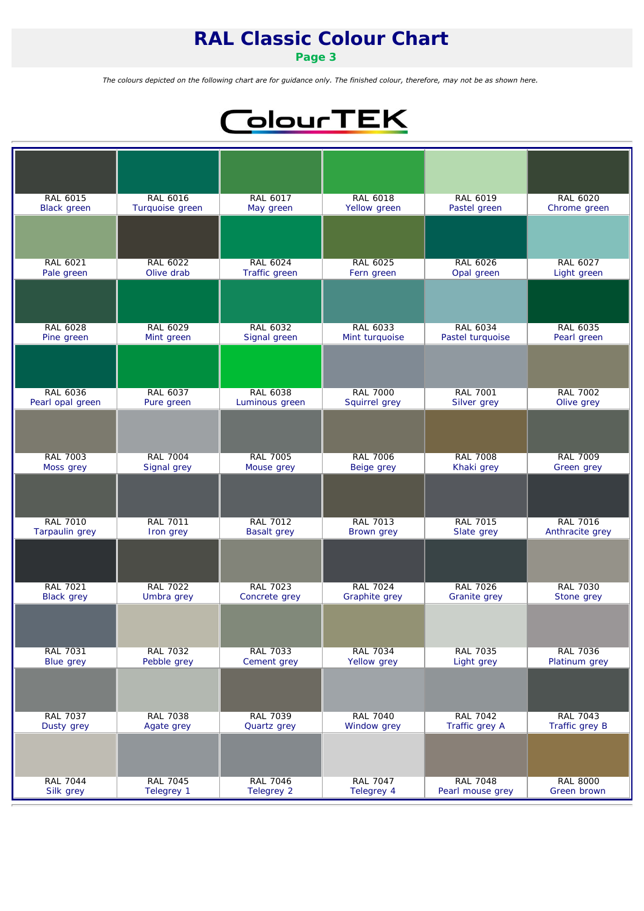*Page 3*

The colours depicted on the following chart are for guidance only. The finished colour, therefore, may not be as shown here.



| RAL 6015              | <b>RAL 6016</b> | RAL 6017           | <b>RAL 6018</b>   | RAL 6019            | RAL 6020        |
|-----------------------|-----------------|--------------------|-------------------|---------------------|-----------------|
| <b>Black</b> green    | Turquoise green | May green          | Yellow green      | Pastel green        | Chrome green    |
|                       |                 |                    |                   |                     |                 |
| RAL 6021              | <b>RAL 6022</b> | RAL 6024           | <b>RAL 6025</b>   | <b>RAL 6026</b>     | <b>RAL 6027</b> |
| Pale green            | Olive drab      | Traffic green      | Fern green        | Opal green          | Light green     |
|                       |                 |                    |                   |                     |                 |
| <b>RAL 6028</b>       | <b>RAL 6029</b> | <b>RAL 6032</b>    | <b>RAL 6033</b>   | <b>RAL 6034</b>     | RAL 6035        |
| Pine green            | Mint green      | Signal green       | Mint turquoise    | Pastel turquoise    | Pearl green     |
|                       |                 |                    |                   |                     |                 |
| <b>RAL 6036</b>       | RAL 6037        | <b>RAL 6038</b>    | <b>RAL 7000</b>   | <b>RAL 7001</b>     | <b>RAL 7002</b> |
| Pearl opal green      | Pure green      | Luminous green     | Squirrel grey     | Silver grey         | Olive grey      |
|                       |                 |                    |                   |                     |                 |
| <b>RAL 7003</b>       | <b>RAL 7004</b> | <b>RAL 7005</b>    | <b>RAL 7006</b>   | <b>RAL 7008</b>     | <b>RAL 7009</b> |
| Moss grey             | Signal grey     | Mouse grey         | Beige grey        | Khaki grey          | Green grey      |
|                       |                 |                    |                   |                     |                 |
| <b>RAL 7010</b>       | <b>RAL 7011</b> | <b>RAL 7012</b>    | <b>RAL 7013</b>   | <b>RAL 7015</b>     | <b>RAL 7016</b> |
| <b>Tarpaulin</b> grey | Iron grey       | <b>Basalt grey</b> | <b>Brown</b> grey | Slate grey          | Anthracite grey |
|                       |                 |                    |                   |                     |                 |
| <b>RAL 7021</b>       | <b>RAL 7022</b> | <b>RAL 7023</b>    | <b>RAL 7024</b>   | <b>RAL 7026</b>     | <b>RAL 7030</b> |
| <b>Black</b> grey     | Umbra grey      | Concrete grey      | Graphite grey     | <b>Granite</b> grey | Stone grey      |
|                       |                 |                    |                   |                     |                 |
| <b>RAL 7031</b>       | <b>RAL 7032</b> | <b>RAL 7033</b>    | <b>RAL 7034</b>   | <b>RAL 7035</b>     | <b>RAL 7036</b> |
| <b>Blue grey</b>      | Pebble grey     | Cement grey        | Yellow grey       | Light grey          | Platinum grey   |
|                       |                 |                    |                   |                     |                 |
| <b>RAL 7037</b>       | <b>RAL 7038</b> | <b>RAL 7039</b>    | <b>RAL 7040</b>   | <b>RAL 7042</b>     | <b>RAL 7043</b> |
| Dusty grey            | Agate grey      | Quartz grey        | Window grey       | Traffic grey A      | Traffic grey B  |
|                       |                 |                    |                   |                     |                 |
| <b>RAL 7044</b>       | <b>RAL 7045</b> | <b>RAL 7046</b>    | <b>RAL 7047</b>   | <b>RAL 7048</b>     | <b>RAL 8000</b> |
| Silk grey             | Telegrey 1      | Telegrey 2         | Telegrey 4        | Pearl mouse grey    | Green brown     |